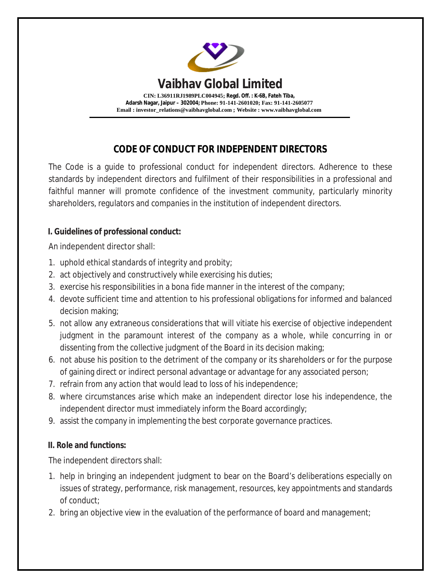

**Email : [investor\\_relations@vaibhavglobal.com](mailto:investor_relations@vaibhavglobal.com) ; Website : [www.vaibhavglobal.com](http://www.vaibhavglobal.com)**

# **CODE OF CONDUCT FOR INDEPENDENT DIRECTORS**

The Code is a guide to professional conduct for independent directors. Adherence to these standards by independent directors and fulfilment of their responsibilities in a professional and faithful manner will promote confidence of the investment community, particularly minority shareholders, regulators and companies in the institution of independent directors.

## **I. Guidelines of professional conduct:**

An independent director shall:

- 1. uphold ethical standards of integrity and probity;
- 2. act objectively and constructively while exercising his duties;
- 3. exercise his responsibilities in a *bona fide* manner in the interest of the company;
- 4. devote sufficient time and attention to his professional obligations for informed and balanced decision making;
- 5. not allow any extraneous considerations that will vitiate his exercise of objective independent judgment in the paramount interest of the company as a whole, while concurring in or dissenting from the collective judgment of the Board in its decision making;
- 6. not abuse his position to the detriment of the company or its shareholders or for the purpose of gaining direct or indirect personal advantage or advantage for any associated person;
- 7. refrain from any action that would lead to loss of his independence;
- 8. where circumstances arise which make an independent director lose his independence, the independent director must immediately inform the Board accordingly;
- 9. assist the company in implementing the best corporate governance practices.

## **II. Role and functions:**

The independent directors shall:

- 1. help in bringing an independent judgment to bear on the Board's deliberations especially on issues of strategy, performance, risk management, resources, key appointments and standards of conduct;
- 2. bring an objective view in the evaluation of the performance of board and management;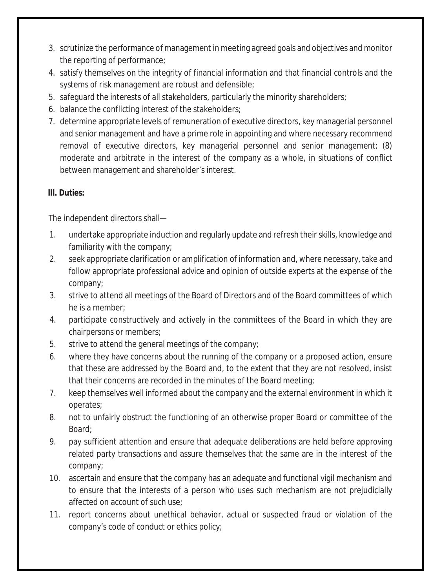- 3. scrutinize the performance of management in meeting agreed goals and objectives and monitor the reporting of performance;
- 4. satisfy themselves on the integrity of financial information and that financial controls and the systems of risk management are robust and defensible;
- 5. safeguard the interests of all stakeholders, particularly the minority shareholders;
- 6. balance the conflicting interest of the stakeholders;
- 7. determine appropriate levels of remuneration of executive directors, key managerial personnel and senior management and have a prime role in appointing and where necessary recommend removal of executive directors, key managerial personnel and senior management; (8) moderate and arbitrate in the interest of the company as a whole, in situations of conflict between management and shareholder's interest.

## **III. Duties:**

The independent directors shall—

- 1. undertake appropriate induction and regularly update and refresh their skills, knowledge and familiarity with the company;
- 2. seek appropriate clarification or amplification of information and, where necessary, take and follow appropriate professional advice and opinion of outside experts at the expense of the company;
- 3. strive to attend all meetings of the Board of Directors and of the Board committees of which he is a member;
- 4. participate constructively and actively in the committees of the Board in which they are chairpersons or members;
- 5. strive to attend the general meetings of the company;
- 6. where they have concerns about the running of the company or a proposed action, ensure that these are addressed by the Board and, to the extent that they are not resolved, insist that their concerns are recorded in the minutes of the Board meeting;
- 7. keep themselves well informed about the company and the external environment in which it operates;
- 8. not to unfairly obstruct the functioning of an otherwise proper Board or committee of the Board;
- 9. pay sufficient attention and ensure that adequate deliberations are held before approving related party transactions and assure themselves that the same are in the interest of the company;
- 10. ascertain and ensure that the company has an adequate and functional vigil mechanism and to ensure that the interests of a person who uses such mechanism are not prejudicially affected on account of such use;
- 11. report concerns about unethical behavior, actual or suspected fraud or violation of the company's code of conduct or ethics policy;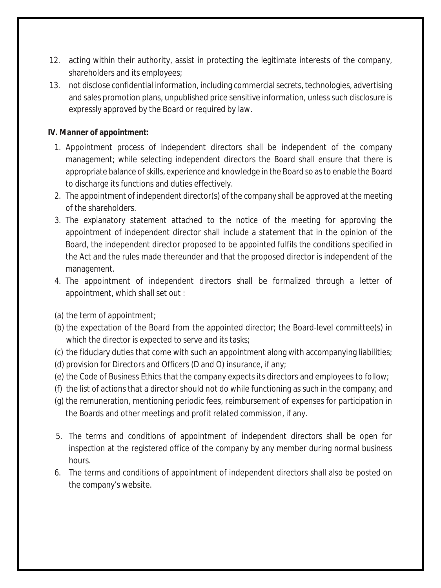- 12. acting within their authority, assist in protecting the legitimate interests of the company, shareholders and its employees;
- 13. not disclose confidential information, including commercial secrets, technologies, advertising and sales promotion plans, unpublished price sensitive information, unless such disclosure is expressly approved by the Board or required by law.

#### **IV. Manner of appointment:**

- 1. Appointment process of independent directors shall be independent of the company management; while selecting independent directors the Board shall ensure that there is appropriate balance of skills, experience and knowledge in the Board so as to enable the Board to discharge its functions and duties effectively.
- 2. The appointment of independent director(s) of the company shall be approved at the meeting of the shareholders.
- 3. The explanatory statement attached to the notice of the meeting for approving the appointment of independent director shall include a statement that in the opinion of the Board, the independent director proposed to be appointed fulfils the conditions specified in the Act and the rules made thereunder and that the proposed director is independent of the management.
- 4. The appointment of independent directors shall be formalized through a letter of appointment, which shall set out :
- (a) the term of appointment;
- (b) the expectation of the Board from the appointed director; the Board-level committee(s) in which the director is expected to serve and its tasks;
- (c) the fiduciary duties that come with such an appointment along with accompanying liabilities;
- (d) provision for Directors and Officers (D and O) insurance, if any;
- (e) the Code of Business Ethics that the company expects its directors and employees to follow;
- (f) the list of actions that a director should not do while functioning as such in the company; and
- (g) the remuneration, mentioning periodic fees, reimbursement of expenses for participation in the Boards and other meetings and profit related commission, if any.
- 5. The terms and conditions of appointment of independent directors shall be open for inspection at the registered office of the company by any member during normal business hours.
- 6. The terms and conditions of appointment of independent directors shall also be posted on the company's website.